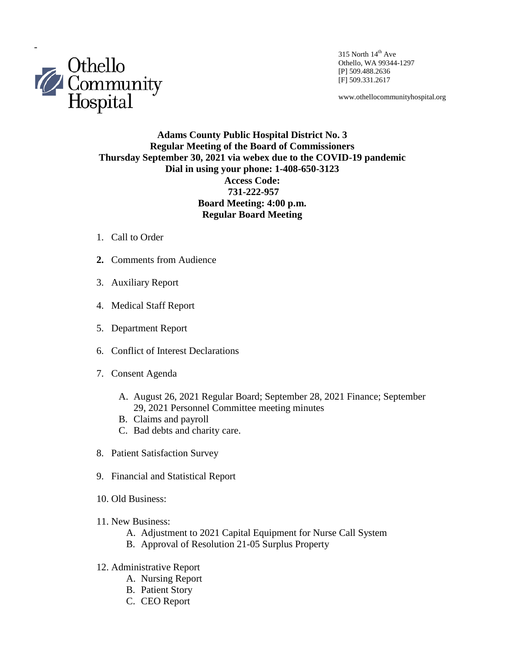

Othello, WA 99344-1297 [P] 509.488.2636 [F] 509.331.2617

www.othellocommunityhospital.org

## **Adams County Public Hospital District No. 3 Regular Meeting of the Board of Commissioners Thursday September 30, 2021 via webex due to the COVID-19 pandemic Dial in using your phone: 1-408-650-3123 Access Code: 731-222-957 Board Meeting: 4:00 p.m. Regular Board Meeting**

- 1. Call to Order
- **2.** Comments from Audience
- 3. Auxiliary Report
- 4. Medical Staff Report
- 5. Department Report
- 6. Conflict of Interest Declarations
- 7. Consent Agenda
	- A. August 26, 2021 Regular Board; September 28, 2021 Finance; September 29, 2021 Personnel Committee meeting minutes
	- B. Claims and payroll
	- C. Bad debts and charity care.
- 8. Patient Satisfaction Survey
- 9. Financial and Statistical Report
- 10. Old Business:
- 11. New Business:
	- A. Adjustment to 2021 Capital Equipment for Nurse Call System
	- B. Approval of Resolution 21-05 Surplus Property
- 12. Administrative Report
	- A. Nursing Report
	- B. Patient Story
	- C. CEO Report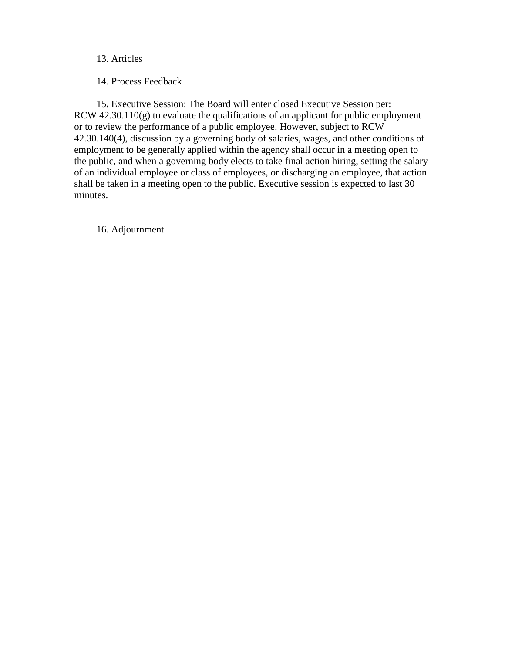## 13. Articles

14. Process Feedback

 15**.** Executive Session: The Board will enter closed Executive Session per: RCW 42.30.110(g) to evaluate the qualifications of an applicant for public employment or to review the performance of a public employee. However, subject to RCW 42.30.140(4), discussion by a governing body of salaries, wages, and other conditions of employment to be generally applied within the agency shall occur in a meeting open to the public, and when a governing body elects to take final action hiring, setting the salary of an individual employee or class of employees, or discharging an employee, that action shall be taken in a meeting open to the public. Executive session is expected to last 30 minutes.

16. Adjournment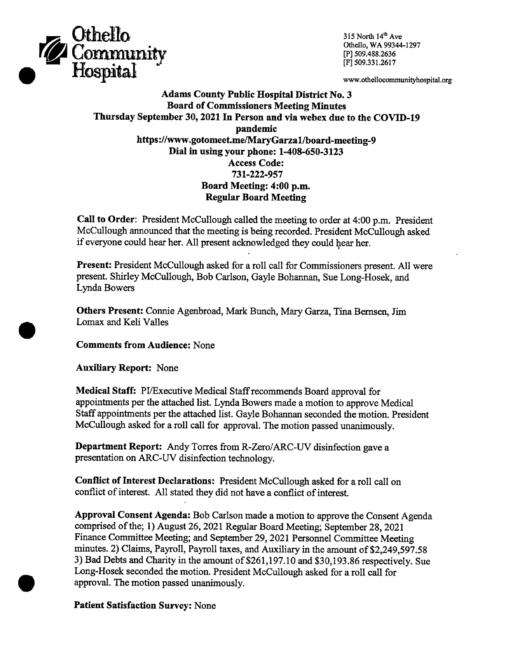

315 North 14th Ave Othello, WA 99344-1297 [P] 509.488.2636 [F] 509.331.2617

www.othellocommunityhospital.org

**Adams County Public Hospital District No. 3 Board of Commissioners Meeting Minutes** Thursday September 30, 2021 In Person and via webex due to the COVID-19 pandemic https://www.gotomeet.me/MaryGarza1/board-meeting-9 Dial in using your phone: 1-408-650-3123 **Access Code:** 731-222-957 Board Meeting: 4:00 p.m. **Regular Board Meeting** 

Call to Order: President McCullough called the meeting to order at 4:00 p.m. President McCullough announced that the meeting is being recorded. President McCullough asked if everyone could hear her. All present acknowledged they could hear her.

Present: President McCullough asked for a roll call for Commissioners present. All were present. Shirley McCullough, Bob Carlson, Gayle Bohannan, Sue Long-Hosek, and Lynda Bowers

Others Present: Connie Agenbroad, Mark Bunch, Mary Garza, Tina Bernsen, Jim Lomax and Keli Valles

**Comments from Audience: None** 

**Auxiliary Report: None** 

Medical Staff: PI/Executive Medical Staff recommends Board approval for appointments per the attached list. Lynda Bowers made a motion to approve Medical Staff appointments per the attached list. Gayle Bohannan seconded the motion. President McCullough asked for a roll call for approval. The motion passed unanimously.

Department Report: Andy Torres from R-Zero/ARC-UV disinfection gave a presentation on ARC-UV disinfection technology.

**Conflict of Interest Declarations:** President McCullough asked for a roll call on conflict of interest. All stated they did not have a conflict of interest.

Approval Consent Agenda: Bob Carlson made a motion to approve the Consent Agenda comprised of the; 1) August 26, 2021 Regular Board Meeting; September 28, 2021 Finance Committee Meeting; and September 29, 2021 Personnel Committee Meeting minutes. 2) Claims, Payroll, Payroll taxes, and Auxiliary in the amount of \$2,249,597.58 3) Bad Debts and Charity in the amount of \$261,197.10 and \$30,193.86 respectively. Sue Long-Hosek seconded the motion. President McCullough asked for a roll call for approval. The motion passed unanimously.

**Patient Satisfaction Survey: None**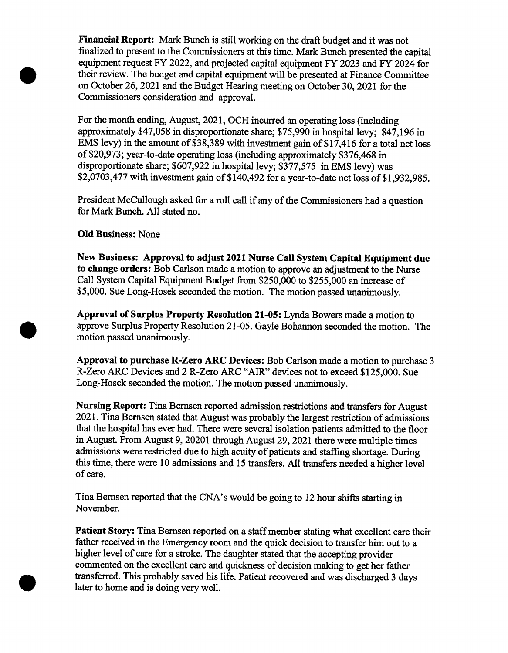Financial Report: Mark Bunch is still working on the draft budget and it was not finalized to present to the Commissioners at this time. Mark Bunch presented the capital equipment request FY 2022, and projected capital equipment FY 2023 and FY 2024 for their review. The budget and capital equipment will be presented at Finance Committee on October 26, 2021 and the Budget Hearing meeting on October 30, 2021 for the Commissioners consideration and approval.

For the month ending, August, 2021, OCH incurred an operating loss (including approximately \$47,058 in disproportionate share; \$75,990 in hospital levy; \$47,196 in EMS levy) in the amount of \$38,389 with investment gain of \$17,416 for a total net loss of \$20,973; year-to-date operating loss (including approximately \$376,468 in disproportionate share; \$607,922 in hospital levy; \$377,575 in EMS levy) was \$2,0703,477 with investment gain of \$140,492 for a year-to-date net loss of \$1,932,985.

President McCullough asked for a roll call if any of the Commissioners had a question for Mark Bunch, All stated no.

## **Old Business: None**

New Business: Approval to adjust 2021 Nurse Call System Capital Equipment due to change orders: Bob Carlson made a motion to approve an adjustment to the Nurse Call System Capital Equipment Budget from \$250,000 to \$255,000 an increase of \$5,000. Sue Long-Hosek seconded the motion. The motion passed unanimously.

Approval of Surplus Property Resolution 21-05: Lynda Bowers made a motion to approve Surplus Property Resolution 21-05. Gayle Bohannon seconded the motion. The motion passed unanimously.

Approval to purchase R-Zero ARC Devices: Bob Carlson made a motion to purchase 3 R-Zero ARC Devices and 2 R-Zero ARC "AIR" devices not to exceed \$125,000. Sue Long-Hosek seconded the motion. The motion passed unanimously.

**Nursing Report:** Tina Bernsen reported admission restrictions and transfers for August 2021. Tina Bernsen stated that August was probably the largest restriction of admissions that the hospital has ever had. There were several isolation patients admitted to the floor in August. From August 9, 20201 through August 29, 2021 there were multiple times admissions were restricted due to high acuity of patients and staffing shortage. During this time, there were 10 admissions and 15 transfers. All transfers needed a higher level of care.

Tina Bernsen reported that the CNA's would be going to 12 hour shifts starting in November.

Patient Story: Tina Bernsen reported on a staff member stating what excellent care their father received in the Emergency room and the quick decision to transfer him out to a higher level of care for a stroke. The daughter stated that the accepting provider commented on the excellent care and quickness of decision making to get her father transferred. This probably saved his life. Patient recovered and was discharged 3 days later to home and is doing very well.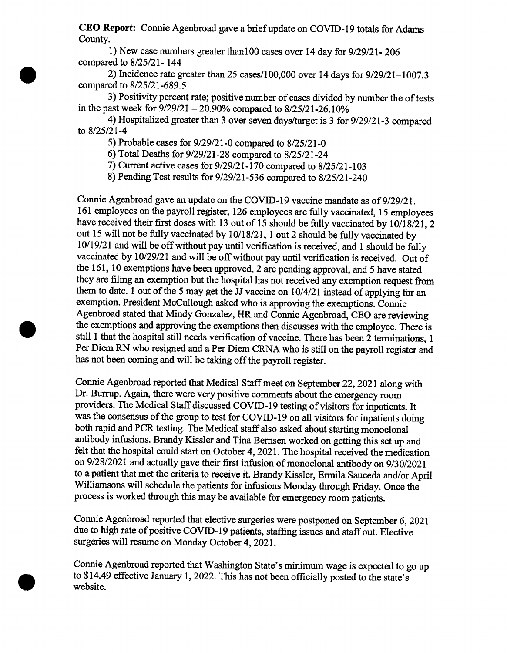CEO Report: Connie Agenbroad gave a brief update on COVID-19 totals for Adams County.

1) New case numbers greater than 100 cases over 14 day for 9/29/21-206 compared to 8/25/21-144

2) Incidence rate greater than 25 cases/100,000 over 14 days for 9/29/21-1007.3 compared to 8/25/21-689.5

3) Positivity percent rate; positive number of cases divided by number the of tests in the past week for  $9/29/21 - 20.90\%$  compared to  $8/25/21 - 26.10\%$ 

4) Hospitalized greater than 3 over seven days/target is 3 for 9/29/21-3 compared to 8/25/21-4

5) Probable cases for  $9/29/21$ -0 compared to  $8/25/21$ -0

6) Total Deaths for 9/29/21-28 compared to 8/25/21-24

7) Current active cases for 9/29/21-170 compared to 8/25/21-103

8) Pending Test results for 9/29/21-536 compared to 8/25/21-240

Connie Agenbroad gave an update on the COVID-19 vaccine mandate as of 9/29/21. 161 employees on the payroll register, 126 employees are fully vaccinated, 15 employees have received their first doses with 13 out of 15 should be fully vaccinated by 10/18/21, 2 out 15 will not be fully vaccinated by 10/18/21, 1 out 2 should be fully vaccinated by 10/19/21 and will be off without pay until verification is received, and 1 should be fully vaccinated by 10/29/21 and will be off without pay until verification is received. Out of the 161, 10 exemptions have been approved, 2 are pending approval, and 5 have stated they are filing an exemption but the hospital has not received any exemption request from them to date. 1 out of the 5 may get the JJ vaccine on 10/4/21 instead of applying for an exemption. President McCullough asked who is approving the exemptions. Connie Agenbroad stated that Mindy Gonzalez, HR and Connie Agenbroad, CEO are reviewing the exemptions and approving the exemptions then discusses with the employee. There is still 1 that the hospital still needs verification of vaccine. There has been 2 terminations, 1 Per Diem RN who resigned and a Per Diem CRNA who is still on the payroll register and has not been coming and will be taking off the payroll register.

Connie Agenbroad reported that Medical Staff meet on September 22, 2021 along with Dr. Burrup. Again, there were very positive comments about the emergency room providers. The Medical Staff discussed COVID-19 testing of visitors for inpatients. It was the consensus of the group to test for COVID-19 on all visitors for inpatients doing both rapid and PCR testing. The Medical staff also asked about starting monoclonal antibody infusions. Brandy Kissler and Tina Bernsen worked on getting this set up and felt that the hospital could start on October 4, 2021. The hospital received the medication on 9/28/2021 and actually gave their first infusion of monoclonal antibody on 9/30/2021 to a patient that met the criteria to receive it. Brandy Kissler, Ermila Sauceda and/or April Williamsons will schedule the patients for infusions Monday through Friday. Once the process is worked through this may be available for emergency room patients.

Connie Agenbroad reported that elective surgeries were postponed on September 6, 2021 due to high rate of positive COVID-19 patients, staffing issues and staff out. Elective surgeries will resume on Monday October 4, 2021.

Connie Agenbroad reported that Washington State's minimum wage is expected to go up to \$14.49 effective January 1, 2022. This has not been officially posted to the state's website.